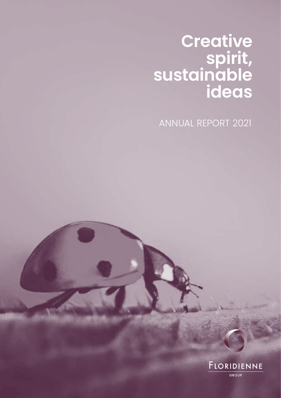# **Creative spirit, sustainable ideas**

ANNUAL REPORT 2021

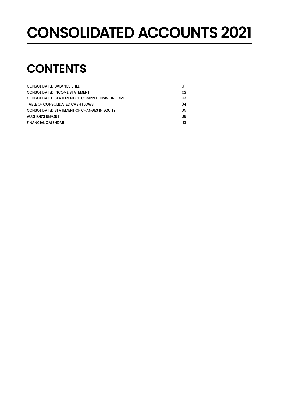# **CONSOLIDATED ACCOUNTS 2021**

# **CONTENTS**

| <b>CONSOLIDATED BALANCE SHEET</b>                     | 01 |
|-------------------------------------------------------|----|
| <b>CONSOLIDATED INCOME STATEMENT</b>                  | 02 |
| <b>CONSOLIDATED STATEMENT OF COMPREHENSIVE INCOME</b> | 03 |
| TABLE OF CONSOLIDATED CASH FLOWS                      | 04 |
| <b>CONSOLIDATED STATEMENT OF CHANGES IN EQUITY</b>    | 05 |
| <b>AUDITOR'S REPORT</b>                               | 06 |
| <b>FINANCIAL CALENDAR</b>                             | 13 |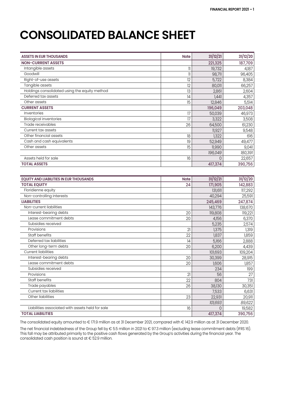# **CONSOLIDATED BALANCE SHEET**

| <b>ASSETS IN EUR THOUSANDS</b>                   | <b>Note</b>  | 31/12/21 | 31/12/20 |
|--------------------------------------------------|--------------|----------|----------|
| <b>NON-CURRENT ASSETS</b>                        |              | 221,325  | 187,709  |
| Intangible assets                                | 11           | 19,732   | 4,187    |
| Goodwill                                         | $\mathbb{I}$ | 98,711   | 96,405   |
| Right-of-use assets                              | 12           | 5,722    | 8,384    |
| Tangible assets                                  | 12           | 80,011   | 66,257   |
| Holdings consolidated using the equity method    | 13           | 2,861    | 2,604    |
| Deferred tax assets                              | 4            | 1,441    | 4,357    |
| Other assets                                     | 15           | 12,846   | 5,514    |
| <b>CURRENT ASSETS</b>                            |              | 196,049  | 203,048  |
| Inventories                                      | 17           | 50,039   | 46,973   |
| <b>Biological inventories</b>                    | 17           | 3,322    | 3,508    |
| Trade receivables                                | 26           | 64,500   | 61,230   |
| Current tax assets                               |              | 11,927   | 9,548    |
| Other financial assets                           | 18           | 1,322    | 616      |
| Cash and cash equivalents                        | 19           | 52,949   | 49,477   |
| Other assets                                     | 15           | 11,990   | 9,041    |
|                                                  |              | 196,049  | 180,391  |
| Assets held for sale                             | 16           | $\Omega$ | 22,657   |
| <b>TOTAL ASSETS</b>                              |              | 417,374  | 390,756  |
|                                                  |              |          |          |
| <b>EQUITY AND LIABILITIES IN EUR THOUSANDS</b>   | <b>Note</b>  | 31/12/21 | 31/12/20 |
| <b>TOTAL EQUITY</b>                              | 24           | 171,905  | 142,883  |
| Floridienne equity                               |              | 131,611  | 117,292  |
| Non-controlling interests                        |              | 40,294   | 25,591   |
| <b>LIABILITIES</b>                               |              | 245,469  | 247,874  |
| Non-current liabilities                          |              | 143,776  | 138,670  |
| Interest-bearing debts                           | 20           | 119,808  | 119,221  |
| Lease commitment debts                           | 20           | 4,156    | 6,370    |
| Subsidies received                               |              | 5,235    | 2,574    |
| Provisions                                       | 21           | 1,375    | 1,319    |
| Staff benefits                                   | 22           | 1,837    | 1,859    |
| Deferred tax liabilities                         | 4            | 5,166    | 2,888    |
| Other long-term debts                            | 20           | 6,200    | 4,439    |
| <b>Current liabilities</b>                       |              | 101,693  | 109,204  |
| Interest-bearing debts                           | 20           | 30,399   | 28,915   |
| Lease commitment debts                           | 20           | 1,606    | 1,857    |
| Subsidies received                               |              | 234      | 199      |
| Provisions                                       | 21           | 56       | 27       |
| Staff benefits                                   | 22           | 804      | 731      |
| Trade payables                                   | 26           | 38,130   | 30,351   |
| Current tax liabilities                          |              | 7,533    | 6,631    |
| Other liabilities                                | 23           | 22,931   | 20,911   |
|                                                  |              | 101,693  | 89,622   |
| Liabilities associated with assets held for sale | 16           | $\Omega$ | 19,582   |
| <b>TOTAL LIABILITIES</b>                         |              | 417,374  | 390,756  |

The consolidated equity amounted to € 171.9 million as at 31 December 2021, compared with € 142.9 million as at 31 December 2020.

The net financial indebtedness of the Group fell by € 5.5 million in 2021 to € 97.3 million (excluding lease commitment debts (IFRS 16). This fall may be attributed primarily to the positive cash flows generated by the Group's activities during the financial year. The consolidated cash position is sound at  $\epsilon$  52.9 million.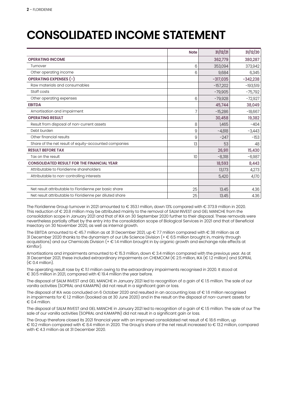# **CONSOLIDATED INCOME STATEMENT**

|                                                          | <b>Note</b> | 31/12/21   | 31/12/20   |
|----------------------------------------------------------|-------------|------------|------------|
| <b>OPERATING INCOME</b>                                  |             | 362,779    | 380,287    |
| Turnover                                                 | 6           | 353,094    | 373,942    |
| Other operating income                                   | 6           | 9,684      | 6,345      |
| <b>OPERATING EXPENSES (-)</b>                            |             | $-317,035$ | $-342,238$ |
| Raw materials and consumables                            |             | $-157,202$ | $-193,519$ |
| Staff costs                                              |             | $-79,905$  | $-75,792$  |
| Other operating expenses                                 | 6           | $-79,928$  | $-72,927$  |
| <b>EBITDA</b>                                            |             | 45,744     | 38,049     |
| Amortisation and impairment                              |             | $-15,286$  | $-18,667$  |
| <b>OPERATING RESULT</b>                                  |             | 30,458     | 19,382     |
| Result from disposal of non-current assets               | 8           | 1,465      | -404       |
| Debt burden                                              | 9           | $-4,818$   | $-3,443$   |
| Other financial results                                  | 9           | $-247$     | $-153$     |
| Share of the net result of equity-accounted companies    | 13          | 53         | 48         |
| <b>RESULT BEFORE TAX</b>                                 |             | 26,911     | 15,430     |
| Tax on the result                                        | 10          | $-8,318$   | $-6,987$   |
| <b>CONSOLIDATED RESULT FOR THE FINANCIAL YEAR</b>        |             | 18,593     | 8,443      |
| Attributable to Floridienne shareholders                 |             | 13,173     | 4,273      |
| Attributable to non-controlling interests                |             | 5,420      | 4,170      |
|                                                          |             |            |            |
| Net result attributable to Floridienne per basic share   | 25          | 13.45      | 4.36       |
| Net result attributable to Floridienne per diluted share | 25          | 13.45      | 4.36       |

The Floridienne Group turnover in 2021 amounted to € 353.1 million, down 13% compared with € 373.9 million in 2020. This reduction of € 20.8 million may be attributed mainly to the removal of SALM INVEST and GEL MANCHE from the consolidation scope in January 2021 and that of IKA on 30 September 2020 further to their disposal. These removals were nevertheless partially offset by the entry into the consolidation scope of Biological Services in 2021 and that of Beneficial Insectary on 30 November 2020, as well as internal growth.

The EBITDA amounted to € 45.7 million as at 31 December 2021, up € 7.7 million compared with € 38 million as at 31 December 2020 thanks to the dynamism of our Life Science Division (+ € 6.5 million brought in, mainly through acquisitions) and our Chemicals Division (+ € 1.4 million brought in by organic growth and exchange rate effects at Kimflor).

Amortisations and impairments amounted to € 15.3 million, down € 3.4 million compared with the previous year. As at 31 December 2021, these included extraordinary impairments on CHEMCOM (€ 2.5 million, IKA (€ 1.2 million) and SOPRAL  $(\epsilon$  0.4 million).

The operating result rose by € 11.1 million owing to the extraordinary impairments recognised in 2020. It stood at € 30.5 million in 2021, compared with € 19.4 million the year before.

The disposal of SALM INVEST and GEL MANCHE in January 2021 led to recognition of a gain of € 1.5 million. The sale of our vanilla activities (SOPRAL and KAMAPIN) did not result in a significant gain or loss.

The disposal of IKA was concluded on 6 October 2020 and resulted in an accounting loss of € 1.6 million recognised in impairments for € 1.2 million (booked as at 30 June 2020) and in the result on the disposal of non-current assets for  $∈$  0.4 million.

The disposal of SALM INVEST and GEL MANCHE in January 2021 led to recognition of a gain of € 1.5 million. The sale of our The sale of our vanilla activities (SOPRAL and KAMAPIN) did not result in a significant gain or loss.

The Group therefore closed its 2021 financial year with an improved consolidated net result of € 18.6 million, up € 10.2 million compared with € 8.4 million in 2020. The Group's share of the net result increased to € 13.2 million, compared with € 4.3 million as at 31 December 2020.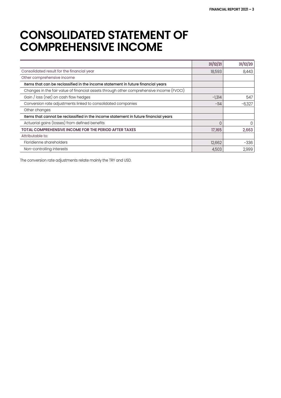### **CONSOLIDATED STATEMENT OF COMPREHENSIVE INCOME**

|                                                                                          | 31/12/21 | 31/12/20 |
|------------------------------------------------------------------------------------------|----------|----------|
| Consolidated result for the financial year                                               | 18,593   | 8,443    |
| Other comprehensive income                                                               |          |          |
| Items that can be reclassified in the income statement in future financial years         |          |          |
| Changes in the fair value of financial assets through other comprehensive income (FVOCI) |          |          |
| Gain / loss (net) on cash flow hedges                                                    | $-1,314$ | 547      |
| Conversion rate adjustments linked to consolidated companies                             | $-114$   | $-6.327$ |
| Other changes                                                                            |          |          |
| Items that cannot be reclassified in the income statement in future financial years      |          |          |
| Actuarial gains (losses) from defined benefits                                           |          | 0        |
| <b>TOTAL COMPREHENSIVE INCOME FOR THE PERIOD AFTER TAXES</b>                             | 17,165   | 2,663    |
| Attributable to:                                                                         |          |          |
| Floridienne shareholders                                                                 | 12,662   | $-336$   |
| Non-controlling interests                                                                | 4,503    | 2,999    |

The conversion rate adjustments relate mainly the TRY and USD.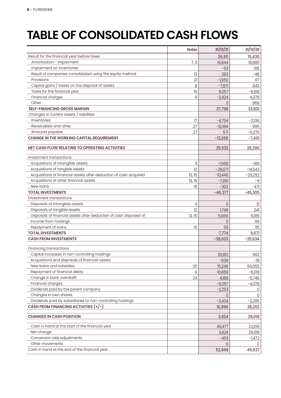# **TABLE OF CONSOLIDATED CASH FLOWS**

| Result for the financial year before taxes<br>26,911<br>15,430<br>Amortisation - impairment<br>$7,$ 11<br>18,885<br>16,844<br>Impairment on inventories<br>$-53$<br>195<br>Result of companies consolidated using the equity method<br>13<br>283<br>$-48$<br>Provisions<br>21<br>$-1,950$<br>67<br>Capital gains / losses on the disposal of assets<br>8<br>643<br>$-7,871$<br>Taxes for the financial year<br>$-6,618$<br>10<br>6,057<br>Financial charges<br>9<br>$-2,424$<br>4,378<br>Other<br>868<br>0<br>37,798<br>33,801<br><b>SELF-FINANCING GROSS MARGIN</b><br>Changes in current assets / liabilities<br>Inventories<br>17<br>$-4,754$<br>$-2,136$<br>Receivables and other<br>27<br>$-8,084$<br>995<br>Amounts payable<br>27<br>$-6,270$<br>571<br><b>CHANGE IN THE WORKING CAPITAL REQUIREMENT</b><br>$-12,266$<br>$-7,410$<br>25,532<br>26,390<br>NET CASH FLOW RELATING TO OPERATING ACTIVITIES<br>Investment transactions<br>Acquisitions of intangible assets<br>$\ensuremath{\mathsf{ll}}$<br>$-1,568$<br>-991<br>12<br>Acquisitions of tangible assets<br>$-26,071$<br>$-14,543$<br>Acquisitions of financial assets after deduction of cash acquired<br>13, 15<br>$-10,445$<br>$-29,292$<br>Acquisitions of other financial assets<br>13,15<br>$-7,991$<br>-9<br>New loans<br>15<br>$-302$<br>$-471$<br><b>TOTAL INVESTMENTS</b><br>$-46,377$<br>$-45,305$<br>Divestment transactions<br>Disposals of intangible assets<br>31<br>11<br>0<br>Disposals of tangible assets<br>12<br>1,749<br>241<br>Disposals of financial assets after deduction of cash disposed of<br>13, 15<br>5,966<br>9,185<br>Income from holdings<br>99<br>0<br>Repayment of loans<br>15<br>58<br>115<br><b>TOTAL DIVESTMENTS</b><br>7,774<br>9,671<br><b>CASH FROM INVESTMENTS</b><br>$-38,603$<br>$-35,634$<br><b>Financing transactions</b><br>Capital increases in non-controlling holdings<br>662<br>20,812<br>Acquisitions and disposals of financial assets<br>$-639$<br>$-18$<br>New loans and subsidies<br>20<br>15,246<br>56,055<br>Repayment of financial debts<br>9<br>$-10,868$<br>$-6,018$<br>Change in bank overdraft<br>24<br>4,188<br>$-5,746$<br>Financial charges<br>$-6,057$<br>$-4,378$<br>Dividends paid by the parent company<br>$-2,253$<br>0<br>Changes in own shares<br>0<br>0<br>Dividends paid by subsidiaries to non-controlling holdings<br>$-2,295$<br>$-3,434$<br>CASH FROM FINANCING ACTIVITIES (+/-)<br>16,996<br>38,262<br><b>CHANGES IN CASH POSITION</b><br>3,924<br>29,018<br>Cash in hand at the start of the financial year<br>22,091<br>49,477 | <b>Notes</b> | 31/12/21 | 31/12/20 |
|----------------------------------------------------------------------------------------------------------------------------------------------------------------------------------------------------------------------------------------------------------------------------------------------------------------------------------------------------------------------------------------------------------------------------------------------------------------------------------------------------------------------------------------------------------------------------------------------------------------------------------------------------------------------------------------------------------------------------------------------------------------------------------------------------------------------------------------------------------------------------------------------------------------------------------------------------------------------------------------------------------------------------------------------------------------------------------------------------------------------------------------------------------------------------------------------------------------------------------------------------------------------------------------------------------------------------------------------------------------------------------------------------------------------------------------------------------------------------------------------------------------------------------------------------------------------------------------------------------------------------------------------------------------------------------------------------------------------------------------------------------------------------------------------------------------------------------------------------------------------------------------------------------------------------------------------------------------------------------------------------------------------------------------------------------------------------------------------------------------------------------------------------------------------------------------------------------------------------------------------------------------------------------------------------------------------------------------------------------------------------------------------------------------------------------------------------------------------------------------------------------------------------------------------------------------------------------|--------------|----------|----------|
|                                                                                                                                                                                                                                                                                                                                                                                                                                                                                                                                                                                                                                                                                                                                                                                                                                                                                                                                                                                                                                                                                                                                                                                                                                                                                                                                                                                                                                                                                                                                                                                                                                                                                                                                                                                                                                                                                                                                                                                                                                                                                                                                                                                                                                                                                                                                                                                                                                                                                                                                                                                  |              |          |          |
|                                                                                                                                                                                                                                                                                                                                                                                                                                                                                                                                                                                                                                                                                                                                                                                                                                                                                                                                                                                                                                                                                                                                                                                                                                                                                                                                                                                                                                                                                                                                                                                                                                                                                                                                                                                                                                                                                                                                                                                                                                                                                                                                                                                                                                                                                                                                                                                                                                                                                                                                                                                  |              |          |          |
|                                                                                                                                                                                                                                                                                                                                                                                                                                                                                                                                                                                                                                                                                                                                                                                                                                                                                                                                                                                                                                                                                                                                                                                                                                                                                                                                                                                                                                                                                                                                                                                                                                                                                                                                                                                                                                                                                                                                                                                                                                                                                                                                                                                                                                                                                                                                                                                                                                                                                                                                                                                  |              |          |          |
|                                                                                                                                                                                                                                                                                                                                                                                                                                                                                                                                                                                                                                                                                                                                                                                                                                                                                                                                                                                                                                                                                                                                                                                                                                                                                                                                                                                                                                                                                                                                                                                                                                                                                                                                                                                                                                                                                                                                                                                                                                                                                                                                                                                                                                                                                                                                                                                                                                                                                                                                                                                  |              |          |          |
|                                                                                                                                                                                                                                                                                                                                                                                                                                                                                                                                                                                                                                                                                                                                                                                                                                                                                                                                                                                                                                                                                                                                                                                                                                                                                                                                                                                                                                                                                                                                                                                                                                                                                                                                                                                                                                                                                                                                                                                                                                                                                                                                                                                                                                                                                                                                                                                                                                                                                                                                                                                  |              |          |          |
|                                                                                                                                                                                                                                                                                                                                                                                                                                                                                                                                                                                                                                                                                                                                                                                                                                                                                                                                                                                                                                                                                                                                                                                                                                                                                                                                                                                                                                                                                                                                                                                                                                                                                                                                                                                                                                                                                                                                                                                                                                                                                                                                                                                                                                                                                                                                                                                                                                                                                                                                                                                  |              |          |          |
|                                                                                                                                                                                                                                                                                                                                                                                                                                                                                                                                                                                                                                                                                                                                                                                                                                                                                                                                                                                                                                                                                                                                                                                                                                                                                                                                                                                                                                                                                                                                                                                                                                                                                                                                                                                                                                                                                                                                                                                                                                                                                                                                                                                                                                                                                                                                                                                                                                                                                                                                                                                  |              |          |          |
|                                                                                                                                                                                                                                                                                                                                                                                                                                                                                                                                                                                                                                                                                                                                                                                                                                                                                                                                                                                                                                                                                                                                                                                                                                                                                                                                                                                                                                                                                                                                                                                                                                                                                                                                                                                                                                                                                                                                                                                                                                                                                                                                                                                                                                                                                                                                                                                                                                                                                                                                                                                  |              |          |          |
|                                                                                                                                                                                                                                                                                                                                                                                                                                                                                                                                                                                                                                                                                                                                                                                                                                                                                                                                                                                                                                                                                                                                                                                                                                                                                                                                                                                                                                                                                                                                                                                                                                                                                                                                                                                                                                                                                                                                                                                                                                                                                                                                                                                                                                                                                                                                                                                                                                                                                                                                                                                  |              |          |          |
|                                                                                                                                                                                                                                                                                                                                                                                                                                                                                                                                                                                                                                                                                                                                                                                                                                                                                                                                                                                                                                                                                                                                                                                                                                                                                                                                                                                                                                                                                                                                                                                                                                                                                                                                                                                                                                                                                                                                                                                                                                                                                                                                                                                                                                                                                                                                                                                                                                                                                                                                                                                  |              |          |          |
|                                                                                                                                                                                                                                                                                                                                                                                                                                                                                                                                                                                                                                                                                                                                                                                                                                                                                                                                                                                                                                                                                                                                                                                                                                                                                                                                                                                                                                                                                                                                                                                                                                                                                                                                                                                                                                                                                                                                                                                                                                                                                                                                                                                                                                                                                                                                                                                                                                                                                                                                                                                  |              |          |          |
|                                                                                                                                                                                                                                                                                                                                                                                                                                                                                                                                                                                                                                                                                                                                                                                                                                                                                                                                                                                                                                                                                                                                                                                                                                                                                                                                                                                                                                                                                                                                                                                                                                                                                                                                                                                                                                                                                                                                                                                                                                                                                                                                                                                                                                                                                                                                                                                                                                                                                                                                                                                  |              |          |          |
|                                                                                                                                                                                                                                                                                                                                                                                                                                                                                                                                                                                                                                                                                                                                                                                                                                                                                                                                                                                                                                                                                                                                                                                                                                                                                                                                                                                                                                                                                                                                                                                                                                                                                                                                                                                                                                                                                                                                                                                                                                                                                                                                                                                                                                                                                                                                                                                                                                                                                                                                                                                  |              |          |          |
|                                                                                                                                                                                                                                                                                                                                                                                                                                                                                                                                                                                                                                                                                                                                                                                                                                                                                                                                                                                                                                                                                                                                                                                                                                                                                                                                                                                                                                                                                                                                                                                                                                                                                                                                                                                                                                                                                                                                                                                                                                                                                                                                                                                                                                                                                                                                                                                                                                                                                                                                                                                  |              |          |          |
|                                                                                                                                                                                                                                                                                                                                                                                                                                                                                                                                                                                                                                                                                                                                                                                                                                                                                                                                                                                                                                                                                                                                                                                                                                                                                                                                                                                                                                                                                                                                                                                                                                                                                                                                                                                                                                                                                                                                                                                                                                                                                                                                                                                                                                                                                                                                                                                                                                                                                                                                                                                  |              |          |          |
|                                                                                                                                                                                                                                                                                                                                                                                                                                                                                                                                                                                                                                                                                                                                                                                                                                                                                                                                                                                                                                                                                                                                                                                                                                                                                                                                                                                                                                                                                                                                                                                                                                                                                                                                                                                                                                                                                                                                                                                                                                                                                                                                                                                                                                                                                                                                                                                                                                                                                                                                                                                  |              |          |          |
|                                                                                                                                                                                                                                                                                                                                                                                                                                                                                                                                                                                                                                                                                                                                                                                                                                                                                                                                                                                                                                                                                                                                                                                                                                                                                                                                                                                                                                                                                                                                                                                                                                                                                                                                                                                                                                                                                                                                                                                                                                                                                                                                                                                                                                                                                                                                                                                                                                                                                                                                                                                  |              |          |          |
|                                                                                                                                                                                                                                                                                                                                                                                                                                                                                                                                                                                                                                                                                                                                                                                                                                                                                                                                                                                                                                                                                                                                                                                                                                                                                                                                                                                                                                                                                                                                                                                                                                                                                                                                                                                                                                                                                                                                                                                                                                                                                                                                                                                                                                                                                                                                                                                                                                                                                                                                                                                  |              |          |          |
|                                                                                                                                                                                                                                                                                                                                                                                                                                                                                                                                                                                                                                                                                                                                                                                                                                                                                                                                                                                                                                                                                                                                                                                                                                                                                                                                                                                                                                                                                                                                                                                                                                                                                                                                                                                                                                                                                                                                                                                                                                                                                                                                                                                                                                                                                                                                                                                                                                                                                                                                                                                  |              |          |          |
|                                                                                                                                                                                                                                                                                                                                                                                                                                                                                                                                                                                                                                                                                                                                                                                                                                                                                                                                                                                                                                                                                                                                                                                                                                                                                                                                                                                                                                                                                                                                                                                                                                                                                                                                                                                                                                                                                                                                                                                                                                                                                                                                                                                                                                                                                                                                                                                                                                                                                                                                                                                  |              |          |          |
|                                                                                                                                                                                                                                                                                                                                                                                                                                                                                                                                                                                                                                                                                                                                                                                                                                                                                                                                                                                                                                                                                                                                                                                                                                                                                                                                                                                                                                                                                                                                                                                                                                                                                                                                                                                                                                                                                                                                                                                                                                                                                                                                                                                                                                                                                                                                                                                                                                                                                                                                                                                  |              |          |          |
|                                                                                                                                                                                                                                                                                                                                                                                                                                                                                                                                                                                                                                                                                                                                                                                                                                                                                                                                                                                                                                                                                                                                                                                                                                                                                                                                                                                                                                                                                                                                                                                                                                                                                                                                                                                                                                                                                                                                                                                                                                                                                                                                                                                                                                                                                                                                                                                                                                                                                                                                                                                  |              |          |          |
|                                                                                                                                                                                                                                                                                                                                                                                                                                                                                                                                                                                                                                                                                                                                                                                                                                                                                                                                                                                                                                                                                                                                                                                                                                                                                                                                                                                                                                                                                                                                                                                                                                                                                                                                                                                                                                                                                                                                                                                                                                                                                                                                                                                                                                                                                                                                                                                                                                                                                                                                                                                  |              |          |          |
|                                                                                                                                                                                                                                                                                                                                                                                                                                                                                                                                                                                                                                                                                                                                                                                                                                                                                                                                                                                                                                                                                                                                                                                                                                                                                                                                                                                                                                                                                                                                                                                                                                                                                                                                                                                                                                                                                                                                                                                                                                                                                                                                                                                                                                                                                                                                                                                                                                                                                                                                                                                  |              |          |          |
|                                                                                                                                                                                                                                                                                                                                                                                                                                                                                                                                                                                                                                                                                                                                                                                                                                                                                                                                                                                                                                                                                                                                                                                                                                                                                                                                                                                                                                                                                                                                                                                                                                                                                                                                                                                                                                                                                                                                                                                                                                                                                                                                                                                                                                                                                                                                                                                                                                                                                                                                                                                  |              |          |          |
|                                                                                                                                                                                                                                                                                                                                                                                                                                                                                                                                                                                                                                                                                                                                                                                                                                                                                                                                                                                                                                                                                                                                                                                                                                                                                                                                                                                                                                                                                                                                                                                                                                                                                                                                                                                                                                                                                                                                                                                                                                                                                                                                                                                                                                                                                                                                                                                                                                                                                                                                                                                  |              |          |          |
|                                                                                                                                                                                                                                                                                                                                                                                                                                                                                                                                                                                                                                                                                                                                                                                                                                                                                                                                                                                                                                                                                                                                                                                                                                                                                                                                                                                                                                                                                                                                                                                                                                                                                                                                                                                                                                                                                                                                                                                                                                                                                                                                                                                                                                                                                                                                                                                                                                                                                                                                                                                  |              |          |          |
|                                                                                                                                                                                                                                                                                                                                                                                                                                                                                                                                                                                                                                                                                                                                                                                                                                                                                                                                                                                                                                                                                                                                                                                                                                                                                                                                                                                                                                                                                                                                                                                                                                                                                                                                                                                                                                                                                                                                                                                                                                                                                                                                                                                                                                                                                                                                                                                                                                                                                                                                                                                  |              |          |          |
|                                                                                                                                                                                                                                                                                                                                                                                                                                                                                                                                                                                                                                                                                                                                                                                                                                                                                                                                                                                                                                                                                                                                                                                                                                                                                                                                                                                                                                                                                                                                                                                                                                                                                                                                                                                                                                                                                                                                                                                                                                                                                                                                                                                                                                                                                                                                                                                                                                                                                                                                                                                  |              |          |          |
|                                                                                                                                                                                                                                                                                                                                                                                                                                                                                                                                                                                                                                                                                                                                                                                                                                                                                                                                                                                                                                                                                                                                                                                                                                                                                                                                                                                                                                                                                                                                                                                                                                                                                                                                                                                                                                                                                                                                                                                                                                                                                                                                                                                                                                                                                                                                                                                                                                                                                                                                                                                  |              |          |          |
|                                                                                                                                                                                                                                                                                                                                                                                                                                                                                                                                                                                                                                                                                                                                                                                                                                                                                                                                                                                                                                                                                                                                                                                                                                                                                                                                                                                                                                                                                                                                                                                                                                                                                                                                                                                                                                                                                                                                                                                                                                                                                                                                                                                                                                                                                                                                                                                                                                                                                                                                                                                  |              |          |          |
|                                                                                                                                                                                                                                                                                                                                                                                                                                                                                                                                                                                                                                                                                                                                                                                                                                                                                                                                                                                                                                                                                                                                                                                                                                                                                                                                                                                                                                                                                                                                                                                                                                                                                                                                                                                                                                                                                                                                                                                                                                                                                                                                                                                                                                                                                                                                                                                                                                                                                                                                                                                  |              |          |          |
|                                                                                                                                                                                                                                                                                                                                                                                                                                                                                                                                                                                                                                                                                                                                                                                                                                                                                                                                                                                                                                                                                                                                                                                                                                                                                                                                                                                                                                                                                                                                                                                                                                                                                                                                                                                                                                                                                                                                                                                                                                                                                                                                                                                                                                                                                                                                                                                                                                                                                                                                                                                  |              |          |          |
|                                                                                                                                                                                                                                                                                                                                                                                                                                                                                                                                                                                                                                                                                                                                                                                                                                                                                                                                                                                                                                                                                                                                                                                                                                                                                                                                                                                                                                                                                                                                                                                                                                                                                                                                                                                                                                                                                                                                                                                                                                                                                                                                                                                                                                                                                                                                                                                                                                                                                                                                                                                  |              |          |          |
|                                                                                                                                                                                                                                                                                                                                                                                                                                                                                                                                                                                                                                                                                                                                                                                                                                                                                                                                                                                                                                                                                                                                                                                                                                                                                                                                                                                                                                                                                                                                                                                                                                                                                                                                                                                                                                                                                                                                                                                                                                                                                                                                                                                                                                                                                                                                                                                                                                                                                                                                                                                  |              |          |          |
|                                                                                                                                                                                                                                                                                                                                                                                                                                                                                                                                                                                                                                                                                                                                                                                                                                                                                                                                                                                                                                                                                                                                                                                                                                                                                                                                                                                                                                                                                                                                                                                                                                                                                                                                                                                                                                                                                                                                                                                                                                                                                                                                                                                                                                                                                                                                                                                                                                                                                                                                                                                  |              |          |          |
|                                                                                                                                                                                                                                                                                                                                                                                                                                                                                                                                                                                                                                                                                                                                                                                                                                                                                                                                                                                                                                                                                                                                                                                                                                                                                                                                                                                                                                                                                                                                                                                                                                                                                                                                                                                                                                                                                                                                                                                                                                                                                                                                                                                                                                                                                                                                                                                                                                                                                                                                                                                  |              |          |          |
|                                                                                                                                                                                                                                                                                                                                                                                                                                                                                                                                                                                                                                                                                                                                                                                                                                                                                                                                                                                                                                                                                                                                                                                                                                                                                                                                                                                                                                                                                                                                                                                                                                                                                                                                                                                                                                                                                                                                                                                                                                                                                                                                                                                                                                                                                                                                                                                                                                                                                                                                                                                  |              |          |          |
|                                                                                                                                                                                                                                                                                                                                                                                                                                                                                                                                                                                                                                                                                                                                                                                                                                                                                                                                                                                                                                                                                                                                                                                                                                                                                                                                                                                                                                                                                                                                                                                                                                                                                                                                                                                                                                                                                                                                                                                                                                                                                                                                                                                                                                                                                                                                                                                                                                                                                                                                                                                  |              |          |          |
|                                                                                                                                                                                                                                                                                                                                                                                                                                                                                                                                                                                                                                                                                                                                                                                                                                                                                                                                                                                                                                                                                                                                                                                                                                                                                                                                                                                                                                                                                                                                                                                                                                                                                                                                                                                                                                                                                                                                                                                                                                                                                                                                                                                                                                                                                                                                                                                                                                                                                                                                                                                  |              |          |          |
|                                                                                                                                                                                                                                                                                                                                                                                                                                                                                                                                                                                                                                                                                                                                                                                                                                                                                                                                                                                                                                                                                                                                                                                                                                                                                                                                                                                                                                                                                                                                                                                                                                                                                                                                                                                                                                                                                                                                                                                                                                                                                                                                                                                                                                                                                                                                                                                                                                                                                                                                                                                  |              |          |          |
|                                                                                                                                                                                                                                                                                                                                                                                                                                                                                                                                                                                                                                                                                                                                                                                                                                                                                                                                                                                                                                                                                                                                                                                                                                                                                                                                                                                                                                                                                                                                                                                                                                                                                                                                                                                                                                                                                                                                                                                                                                                                                                                                                                                                                                                                                                                                                                                                                                                                                                                                                                                  |              |          |          |
|                                                                                                                                                                                                                                                                                                                                                                                                                                                                                                                                                                                                                                                                                                                                                                                                                                                                                                                                                                                                                                                                                                                                                                                                                                                                                                                                                                                                                                                                                                                                                                                                                                                                                                                                                                                                                                                                                                                                                                                                                                                                                                                                                                                                                                                                                                                                                                                                                                                                                                                                                                                  |              |          |          |
|                                                                                                                                                                                                                                                                                                                                                                                                                                                                                                                                                                                                                                                                                                                                                                                                                                                                                                                                                                                                                                                                                                                                                                                                                                                                                                                                                                                                                                                                                                                                                                                                                                                                                                                                                                                                                                                                                                                                                                                                                                                                                                                                                                                                                                                                                                                                                                                                                                                                                                                                                                                  |              |          |          |
|                                                                                                                                                                                                                                                                                                                                                                                                                                                                                                                                                                                                                                                                                                                                                                                                                                                                                                                                                                                                                                                                                                                                                                                                                                                                                                                                                                                                                                                                                                                                                                                                                                                                                                                                                                                                                                                                                                                                                                                                                                                                                                                                                                                                                                                                                                                                                                                                                                                                                                                                                                                  |              |          |          |
|                                                                                                                                                                                                                                                                                                                                                                                                                                                                                                                                                                                                                                                                                                                                                                                                                                                                                                                                                                                                                                                                                                                                                                                                                                                                                                                                                                                                                                                                                                                                                                                                                                                                                                                                                                                                                                                                                                                                                                                                                                                                                                                                                                                                                                                                                                                                                                                                                                                                                                                                                                                  |              |          |          |
|                                                                                                                                                                                                                                                                                                                                                                                                                                                                                                                                                                                                                                                                                                                                                                                                                                                                                                                                                                                                                                                                                                                                                                                                                                                                                                                                                                                                                                                                                                                                                                                                                                                                                                                                                                                                                                                                                                                                                                                                                                                                                                                                                                                                                                                                                                                                                                                                                                                                                                                                                                                  |              |          |          |
| Net change<br>3,924<br>29,018                                                                                                                                                                                                                                                                                                                                                                                                                                                                                                                                                                                                                                                                                                                                                                                                                                                                                                                                                                                                                                                                                                                                                                                                                                                                                                                                                                                                                                                                                                                                                                                                                                                                                                                                                                                                                                                                                                                                                                                                                                                                                                                                                                                                                                                                                                                                                                                                                                                                                                                                                    |              |          |          |
| Conversion rate adjustments<br>$-453$<br>$-1,472$                                                                                                                                                                                                                                                                                                                                                                                                                                                                                                                                                                                                                                                                                                                                                                                                                                                                                                                                                                                                                                                                                                                                                                                                                                                                                                                                                                                                                                                                                                                                                                                                                                                                                                                                                                                                                                                                                                                                                                                                                                                                                                                                                                                                                                                                                                                                                                                                                                                                                                                                |              |          |          |
| Other movements<br>0                                                                                                                                                                                                                                                                                                                                                                                                                                                                                                                                                                                                                                                                                                                                                                                                                                                                                                                                                                                                                                                                                                                                                                                                                                                                                                                                                                                                                                                                                                                                                                                                                                                                                                                                                                                                                                                                                                                                                                                                                                                                                                                                                                                                                                                                                                                                                                                                                                                                                                                                                             |              |          |          |
| Cash in hand at the end of the financial year<br>52,949<br>49,637                                                                                                                                                                                                                                                                                                                                                                                                                                                                                                                                                                                                                                                                                                                                                                                                                                                                                                                                                                                                                                                                                                                                                                                                                                                                                                                                                                                                                                                                                                                                                                                                                                                                                                                                                                                                                                                                                                                                                                                                                                                                                                                                                                                                                                                                                                                                                                                                                                                                                                                |              |          |          |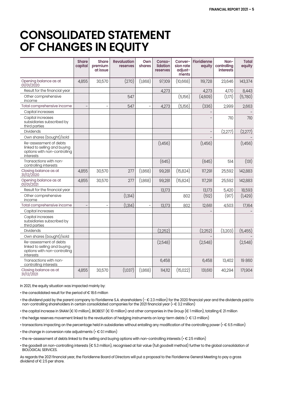### **CONSOLIDATED STATEMENT OF CHANGES IN EQUITY**

|                                                                                                     | <b>Share</b><br>capital | <b>Share</b><br>premium<br>at issue | <b>Revaluation</b><br>reserves | Own<br>shares            | Conso-<br>lidation<br>reserves | Conver-<br>sion rate<br>adjust-<br>ments | <b>Floridienne</b><br>equity | Non-<br>controlling<br><b>interests</b> | <b>Total</b><br>equity |
|-----------------------------------------------------------------------------------------------------|-------------------------|-------------------------------------|--------------------------------|--------------------------|--------------------------------|------------------------------------------|------------------------------|-----------------------------------------|------------------------|
| Opening balance as at<br>01/01/2020                                                                 | 4,855                   | 30,570                              | (270)                          | (1,868)                  | 97,109                         | (10,668)                                 | 119,728                      | 23,646                                  | 143,374                |
| Result for the financial year                                                                       |                         |                                     |                                |                          | 4,273                          |                                          | 4,273                        | 4,170                                   | 8,443                  |
| Other comprehensive<br>income                                                                       |                         |                                     | 547                            |                          |                                | (5,156)                                  | (4,609)                      | (1,171)                                 | (5,780)                |
| Total comprehensive income                                                                          |                         | ÷                                   | 547                            | $\overline{\phantom{a}}$ | 4,273                          | (5,156)                                  | (336)                        | 2,999                                   | 2,663                  |
| Capital increases                                                                                   |                         |                                     |                                |                          |                                |                                          |                              |                                         |                        |
| Capital increases<br>subsidiaries subscribed by<br>third parties                                    |                         |                                     |                                |                          |                                |                                          |                              | 710                                     | 710                    |
| <b>Dividends</b>                                                                                    |                         |                                     |                                |                          |                                |                                          |                              | (2,277)                                 | (2,277)                |
| Own shares (bought)/sold                                                                            |                         |                                     |                                |                          |                                |                                          |                              |                                         |                        |
| Re-assessment of debts<br>linked to selling and buying<br>options with non-controlling<br>interests |                         |                                     |                                |                          | (1,456)                        |                                          | (1,456)                      |                                         | (1,456)                |
| Transactions with non-<br>controlling interests                                                     |                         |                                     |                                |                          | (645)                          |                                          | (645)                        | 514                                     | (131)                  |
| Closing balance as at<br>31/12/2020                                                                 | 4,855                   | 30,570                              | 277                            | (1,868)                  | 99,281                         | (15, 824)                                | 117,291                      | 25,592                                  | 142,883                |
| Opening balance as at<br>01/01/2021                                                                 | 4,855                   | 30,570                              | 277                            | (1,868)                  | 99,281                         | (15, 824)                                | 117,291                      | 25,592                                  | 142,883                |
| Result for the financial year                                                                       |                         |                                     |                                |                          | 13,173                         |                                          | 13,173                       | 5,420                                   | 18,593                 |
| Other comprehensive<br>income                                                                       |                         |                                     | (1,314)                        |                          |                                | 802                                      | (512)                        | (917)                                   | (1,429)                |
| Total comprehensive income                                                                          |                         |                                     | (1,314)                        | $\qquad \qquad -$        | 13,173                         | 802                                      | 12,661                       | 4,503                                   | 17,164                 |
| Capital increases                                                                                   |                         |                                     |                                |                          |                                |                                          |                              |                                         |                        |
| Capital increases<br>subsidiaries subscribed by<br>third parties                                    |                         |                                     |                                |                          |                                |                                          |                              |                                         |                        |
| Dividends                                                                                           |                         |                                     |                                |                          | (2,252)                        |                                          | (2,252)                      | (3,203)                                 | (5,455)                |
| Own shares (bought)/sold                                                                            |                         |                                     |                                |                          |                                |                                          |                              |                                         |                        |
| Re-assessment of debts<br>linked to selling and buying<br>options with non-controlling<br>interests |                         |                                     |                                |                          | (2,548)                        |                                          | (2,548)                      |                                         | (2,548)                |
| Transactions with non-<br>controlling interests                                                     |                         |                                     |                                |                          | 6,458                          |                                          | 6,458                        | 13,402                                  | 19860                  |
| Closing balance as at<br>31/12/2021                                                                 | 4,855                   | 30,570                              | (1,037)                        | (1,868)                  | 114,112                        | (15,022)                                 | 131,610                      | 40,294                                  | 171,904                |

In 2021, the equity situation was impacted mainly by:

• the consolidated result for the period of € 18.6 million

• the dividend paid by the parent company to Floridienne S.A. shareholders (- € 2.3 million) for the 2020 financial year and the dividends paid to non-controlling shareholders in certain consolidated companies for the 2021 financial year (• € 3.2 million)

• the capital increase in SNAM (€ 10 million), BIOBEST (€ 10 million) and other companies in the Group (€ 1 million), totalling € 21 million

- the hedge reserves movement linked to the revaluation of hedging instruments on long-term debts (• € 1.3 million)
- transactions impacting on the percentage held in subsidiaries without entailing any modification of the controlling power (• € 6.5 million)

 $\cdot$  the change in conversion rate adjustments ( $\cdot \in$  0.1 million)

- the re-assessment of debts linked to the selling and buying options with non-controlling interests (• € 2.5 million)
- the goodwill on non-controlling interests (€ 5.3 million), recognised at fair value (full goodwill method) further to the global consolidation of BIOLOGICAL SERVICES.

As regards the 2021 financial year, the Floridienne Board of Directors will put a proposal to the Floridienne General Meeting to pay a gross dividend of € 2.5 per share.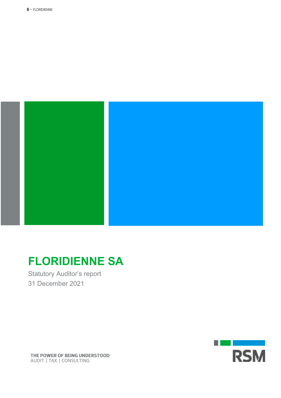

# **FLORIDIENNE SA**

Statutory Auditor's report 31 December 2021



THE POWER OF BEING UNDERSTOOD AUDIT | TAX | CONSULTING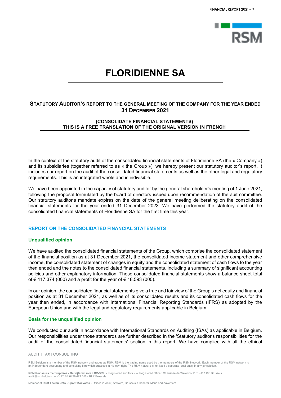

### **FLORIDIENNE SA**

#### **STATUTORY AUDITOR'S REPORT TO THE GENERAL MEETING OF THE COMPANY FOR THE YEAR ENDED 31 DECEMBER 2021**

#### **(CONSOLIDATE FINANCIAL STATEMENTS) THIS IS A FREE TRANSLATION OF THE ORIGINAL VERSION IN FRENCH**

In the context of the statutory audit of the consolidated financial statements of Floridienne SA (the « Company ») and its subsidiaries (together referred to as « the Group »), we hereby present our statutory auditor's report. It includes our report on the audit of the consolidated financial statements as well as the other legal and regulatory requirements. This is an integrated whole and is indivisible.

We have been appointed in the capacity of statutory auditor by the general shareholder's meeting of 1 June 2021, following the proposal formulated by the board of directors issued upon recommendation of the auit committee. Our statutory auditor's mandate expires on the date of the general meeting deliberating on the consolidated financial statements for the year ended 31 December 2023. We have performed the statutory audit of the consolidated financial statements of Floridienne SA for the first time this year.

#### **REPORT ON THE CONSOLIDATED FINANCIAL STATEMENTS**

#### **Unqualified opinion**

We have audited the consolidated financial statements of the Group, which comprise the consolidated statement of the financial position as at 31 December 2021, the consolidated income statement and other comprehensive income, the consolidated statement of changes in equity and the consolidated statement of cash flows fo the year then ended and the notes to the consolidated financial statements, including a summary of significant accounting policies and other explanatory information. Those consolidated financial statements show a balance sheet total of € 417.374 (000) and a profit for the year of € 18.593 (000).

In our opinion, the consolidated financial statements give a true and fair view of the Group's net equity and financial position as at 31 December 2021, as well as of its consolidated results and its consolidated cash flows for the year then ended, in accordance with International Financial Reporting Standards (IFRS) as adopted by the European Union and with the legal and regulatory requirements applicable in Belgium.

#### **Basis for the unqualified opinion**

We conducted our audit in accordance with International Standards on Auditing (ISAs) as applicable in Belgium. Our responsibilities under those standards are further described in the 'Statutory auditor's responsibilities for the audit of the consolidated financial statements' section in this report. We have complied with all the ethical

#### AUDIT | TAX | CONSULTING

RSM Belgium is a member of the RSM network and trades as RSM. RSM is the trading name used by the members of the RSM Network. Each member of the RSM network is an independent accounting and consulting firm which practices in his own right. The RSM network is not itself a separate legal entity in any jurisdiction

**RSM Réviseurs d'entreprises - Bedrijfsrevisoren BV-SRL** - Registered auditors - – Registered office : Chaussée de Waterloo 1151 - B 1180 Brussels .<br>VAT BE 0429.471.656 - RLP Brussels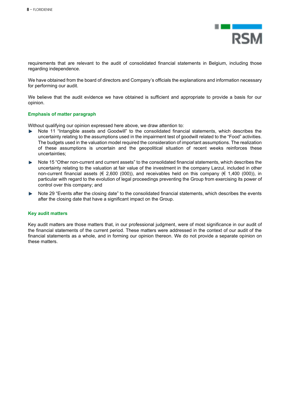

requirements that are relevant to the audit of consolidated financial statements in Belgium, including those regarding independence.

We have obtained from the board of directors and Company's officials the explanations and information necessary for performing our audit.

We believe that the audit evidence we have obtained is sufficient and appropriate to provide a basis for our opinion.

#### **Emphasis of matter paragraph**

Without qualifying our opinion expressed here above, we draw attention to:

- Note 11 "Intangible assets and Goodwill" to the consolidated financial statements, which describes the uncertainty relating to the assumptions used in the impairment test of goodwill related to the "Food" activities. The budgets used in the valuation model required the consideration of important assumptions. The realization of these assumptions is uncertain and the geopolitical situation of recent weeks reinforces these uncertainties;
- . Note 15 "Other non-current and current assets" to the consolidated financial statements, which describes the uncertainty relating to the valuation at fair value of the investment in the company Larzul, included in other non-current financial assets ( $\in$  2,600 (000)), and receivables held on this company ( $\in$  1,400 (000)), in particular with regard to the evolution of legal proceedings preventing the Group from exercising its power of control over this company; and
- Note 29 "Events after the closing date" to the consolidated financial statements, which describes the events . after the closing date that have a significant impact on the Group.

#### **Key audit matters**

Key audit matters are those matters that, in our professional judgment, were of most significance in our audit of the financial statements of the current period. These matters were addressed in the context of our audit of the financial statements as a whole, and in forming our opinion thereon. We do not provide a separate opinion on these matters.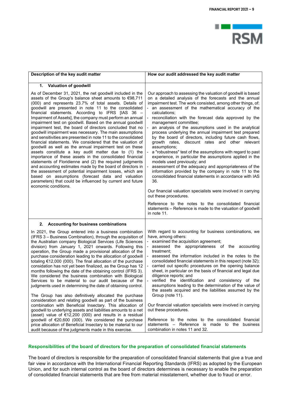

| Description of the key audit matter                                                                                                                                                                                                                                                                                                                                                                                                                                                                                                                                                                                                                                                                                                                                                                                                                                                                                                                                                                                                                                                                                                                                                                      | How our audit addressed the key audit matter                                                                                                                                                                                                                                                                                                                                                                                                                                                                                                                                                                                                                                                                                                                                                                                                                                                                                                                                                                                                                                                                                                                                  |
|----------------------------------------------------------------------------------------------------------------------------------------------------------------------------------------------------------------------------------------------------------------------------------------------------------------------------------------------------------------------------------------------------------------------------------------------------------------------------------------------------------------------------------------------------------------------------------------------------------------------------------------------------------------------------------------------------------------------------------------------------------------------------------------------------------------------------------------------------------------------------------------------------------------------------------------------------------------------------------------------------------------------------------------------------------------------------------------------------------------------------------------------------------------------------------------------------------|-------------------------------------------------------------------------------------------------------------------------------------------------------------------------------------------------------------------------------------------------------------------------------------------------------------------------------------------------------------------------------------------------------------------------------------------------------------------------------------------------------------------------------------------------------------------------------------------------------------------------------------------------------------------------------------------------------------------------------------------------------------------------------------------------------------------------------------------------------------------------------------------------------------------------------------------------------------------------------------------------------------------------------------------------------------------------------------------------------------------------------------------------------------------------------|
| 1. Valuation of goodwill                                                                                                                                                                                                                                                                                                                                                                                                                                                                                                                                                                                                                                                                                                                                                                                                                                                                                                                                                                                                                                                                                                                                                                                 |                                                                                                                                                                                                                                                                                                                                                                                                                                                                                                                                                                                                                                                                                                                                                                                                                                                                                                                                                                                                                                                                                                                                                                               |
| As of December 31, 2021, the net goodwill included in the<br>assets of the Group's balance sheet amounts to €98,711<br>(000) and represents 23.7% of total assets. Details of<br>goodwill are presented in note 11 to the consolidated<br>financial statements. According to IFRS [IAS 36 -<br>Impairment of Assets], the company must perform an annual<br>impairment test on goodwill. Based on the annual goodwill<br>impairment test, the board of directors concluded that no<br>goodwill impairment was necessary. The main assumptions<br>and sensitivities are presented in note 11 to the consolidated<br>financial statements. We considered that the valuation of<br>goodwill as well as the annual impairment test on these<br>assets constitute a key audit matter due to (1) the<br>importance of these assets in the consolidated financial<br>statements of Floridienne and (2) the required judgments<br>and accounting estimates made by the board of directors in<br>the assessment of potential impairment losses, which are<br>based on assumptions (forecast data and valuation<br>parameters) that could be influenced by current and future<br>economic conditions.              | Our approach to assessing the valuation of goodwill is based<br>on a detailed analysis of the forecasts and the annual<br>impairment test. The work consisted, among other things, of:<br>an assessment of the mathematical accuracy of the<br>calculations;<br>reconciliation with the forecast data approved by the<br>management committee;<br>an analysis of the assumptions used in the analytical<br>process underlying the annual impairment test prepared<br>by the board of directors, including future cash flows,<br>growth rates, discount rates and other relevant<br>assumptions;<br>a "robustness" test of the assumptions with regard to past<br>experience, in particular the assumptions applied in the<br>models used previously; and<br>assessment of the adequacy and appropriateness of the<br>information provided by the company in note 11 to the<br>consolidated financial statements in accordance with IAS<br>36.<br>Our financial valuation specialists were involved in carrying<br>out these procedures.<br>Reference to the notes to the consolidated financial<br>statements - Reference is made to the valuation of goodwill<br>in note 11. |
| 2. Accounting for business combinations                                                                                                                                                                                                                                                                                                                                                                                                                                                                                                                                                                                                                                                                                                                                                                                                                                                                                                                                                                                                                                                                                                                                                                  |                                                                                                                                                                                                                                                                                                                                                                                                                                                                                                                                                                                                                                                                                                                                                                                                                                                                                                                                                                                                                                                                                                                                                                               |
| In 2021, the Group entered into a business combination<br>(IFRS 3 – Business Combination), through the acquisition of<br>the Australian company Biological Services (Life Sciences<br>division) from January 1, 2021 onwards. Following this<br>operation, the Group made a provisional allocation of the<br>purchase consideration leading to the allocation of goodwill<br>totaling €12,000 (000). The final allocation of the purchase<br>considation has not yet been finalized, as the Group has 12<br>months following the date of the obtaining control (IFRS 3).<br>We considered the business combination with Biological<br>Services to be material to our audit because of the<br>judgments used in determining the date of obtaining control.<br>The Group has also definitively allocated the purchase<br>consideration and relating goodwill as part of the business<br>combination with Beneficial Insectary. This allocation of<br>goodwill to underlying assets and liabilities amounts to a net<br>(asset) value of €12,200 (000) and results in a residual<br>goodwill of €20,600 (000). We considered the purchase<br>price allocation of Beneficial Insectary to be material to our | With regard to accounting for business combinations, we<br>have, among others:<br>examined the acquisition agreement;<br>assessed the appropriateness of the accounting<br>$\overline{\phantom{0}}$<br>treatment:<br>assessed the information included in the notes to the<br>consolidated financial statements in this respect (note 32);<br>carried out specific procedures on the opening balance<br>sheet, in particular on the basis of financial and legal due<br>diligence reports; and<br>verified the identification and consistency of the<br>assumptions leading to the determination of the value of<br>the assets acquired and the liabilities assumed by the<br>Group (note 11).<br>Our financial valuation specialists were involved in carrying<br>out these procedures.<br>Reference to the notes to the consolidated financial<br>statements – Reference is made to the<br>business                                                                                                                                                                                                                                                                         |
| audit because of the judgments made in this exercise.                                                                                                                                                                                                                                                                                                                                                                                                                                                                                                                                                                                                                                                                                                                                                                                                                                                                                                                                                                                                                                                                                                                                                    | combination in notes 11 and 32.                                                                                                                                                                                                                                                                                                                                                                                                                                                                                                                                                                                                                                                                                                                                                                                                                                                                                                                                                                                                                                                                                                                                               |

#### **Responsibilities of the board of directors for the preparation of consolidated financial statements**

The board of directors is responsible for the preparation of consolidated financial statements that give a true and fair view in accordance with the International Financial Reporting Standards (IFRS) as adopted by the European Union, and for such internal control as the board of directors determines is necessary to enable the preparation of consolidated financial statements that are free from material misstatement, whether due to fraud or error.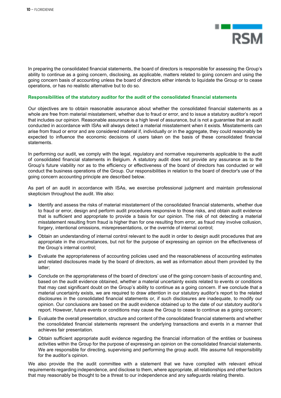

In preparing the consolidated financial statements, the board of directors is responsible for assessing the Group's ability to continue as a going concern, disclosing, as applicable, matters related to going concern and using the going concern basis of accounting unless the board of directors either intends to liquidate the Group or to cease operations, or has no realistic alternative but to do so.

#### **Responsibilities of the statutory auditor for the audit of the consolidated financial statements**

Our objectives are to obtain reasonable assurance about whether the consolidated financial statements as a whole are free from material misstatement, whether due to fraud or error, and to issue a statutory auditor's report that includes our opinion. Reasonable assurance is a high level of assurance, but is not a guarantee that an audit conducted in accordance with ISAs will always detect a material misstatement when it exists. Misstatements can arise from fraud or error and are considered material if, individually or in the aggregate, they could reasonably be expected to influence the economic decisions of users taken on the basis of these consolidated financial statements.

In performing our audit, we comply with the legal, regulatory and normative requirements applicable to the audit of consolidated financial statements in Belgium. A statutory audit does not provide any assurance as to the Group's future viability nor as to the efficiency or effectiveness of the board of directors has conducted or will conduct the business operations of the Group. Our responsibilities in relation to the board of director's use of the going concern accounting principle are described below.

As part of an audit in accordance with ISAs, we exercise professional judgment and maintain professional skepticism throughout the audit. We also:

- Identify and assess the risks of material misstatement of the consolidated financial statements, whether due . to fraud or error, design and perform audit procedures responsive to those risks, and obtain audit evidence that is sufficient and appropriate to provide a basis for our opinion. The risk of not detecting a material misstatement resulting from fraud is higher than for one resulting from error, as fraud may involve collusion, forgery, intentional omissions, misrepresentations, or the override of internal control;
- Obtain an understanding of internal control relevant to the audit in order to design audit procedures that are appropriate in the circumstances, but not for the purpose of expressing an opinion on the effectiveness of the Group's internal control;
- Evaluate the appropriateness of accounting policies used and the reasonableness of accounting estimates and related disclosures made by the board of directors, as well as information about them provided by the latter;
- Conclude on the appropriateness of the board of directors' use of the going concern basis of accounting and, based on the audit evidence obtained, whether a material uncertainty exists related to events or conditions that may cast significant doubt on the Group's ability to continue as a going concern. If we conclude that a material uncertainty exists, we are required to draw attention in our statutory auditor's report to the related disclosures in the consolidated financial statements or, if such disclosures are inadequate, to modify our opinion. Our conclusions are based on the audit evidence obtained up to the date of our statutory auditor's report. However, future events or conditions may cause the Group to cease to continue as a going concern;
- Evaluate the overall presentation, structure and content of the consolidated financial statements and whether the consolidated financial statements represent the underlying transactions and events in a manner that achieves fair presentation.
- Obtain sufficient appropriate audit evidence regarding the financial information of the entities or business activities within the Group for the purpose of expressing an opinion on the consolidated financial statements. We are responsible for directing, supervising and performing the group audit. We assume full responsibility for the auditor's opinion.

We also provide the the audit committee with a statement that we have complied with relevant ethical requirements regarding independence, and disclose to them, where appropriate, all relationships and other factors that may reasonably be thought to be a threat to our independence and any safeguards relating thereto.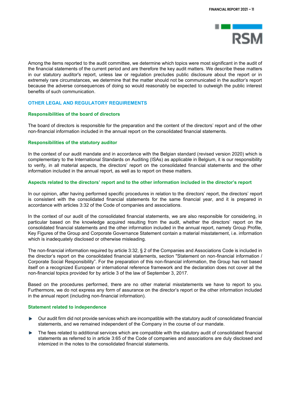

Among the items reported to the audit committee, we determine which topics were most significant in the audit of the financial statements of the current period and are therefore the key audit matters. We describe these matters in our statutory auditor's report, unless law or regulation precludes public disclosure about the report or in extremely rare circumstances, we determine that the matter should not be communicated in the auditor's report because the adverse consequences of doing so would reasonably be expected to outweigh the public interest benefits of such communication.

#### **OTHER LEGAL AND REGULATORY REQUIREMENTS**

#### **Responsibilities of the board of directors**

The board of directors is responsible for the preparation and the content of the directors' report and of the other non-financial information included in the annual report on the consolidated financial statements.

#### **Responsibilities of the statutory auditor**

In the context of our audit mandate and in accordance with the Belgian standard (revised version 2020) which is complementary to the International Standards on Auditing (ISAs) as applicable in Belgium, it is our responsibility to verify, in all material aspects, the directors' report on the consolidated financial statements and the other information included in the annual report, as well as to report on these matters.

#### **Aspects related to the directors' report and to the other information included in the director's report**

In our opinion, after having performed specific procedures in relation to the directors' report, the directors' report is consistent with the consolidated financial statements for the same financial year, and it is prepared in accordance with articles 3:32 of the Code of companies and associations.

In the context of our audit of the consolidated financial statements, we are also responsible for considering, in particular based on the knowledge acquired resulting from the audit, whether the directors' report on the consolidated financial statements and the other information included in the annual report, namely Group Profile, Key Figures of the Group and Corporate Governance Statement contain a material misstatement, i.e. information which is inadequately disclosed or otherwise misleading.

The non-financial information required by article 3:32, § 2 of the Companies and Associations Code is included in the director's report on the consolidated financial statements, section "Statement on non-financial information / Corporate Social Responsibility". For the preparation of this non-financial information, the Group has not based itself on a recognized European or international reference framework and the declaration does not cover all the non-financial topics provided for by article 3 of the law of September 3, 2017.

Based on the procedures performed, there are no other material misstatements we have to report to you. Furthermore, we do not express any form of assurance on the director's report or the other information included in the annual report (including non-financial information).

#### **Statement related to independence**

- Our audit firm did not provide services which are incompatible with the statutory audit of consolidated financial  $\sim$ statements, and we remained independent of the Company in the course of our mandate.
- The fees related to additional services which are compatible with the statutory audit of consolidated financial statements as referred to in article 3:65 of the Code of companies and associations are duly disclosed and intemized in the notes to the consolidated financial statements.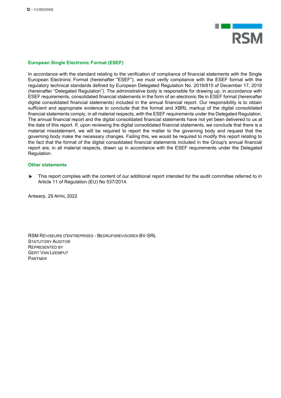

#### **European Single Electronic Format (ESEF)**

In accordance with the standard relating to the verification of compliance of financial statements with the Single European Electronic Format (hereinafter "ESEF"), we must verify compliance with the ESEF format with the regulatory technical standards defined by European Delegated Regulation No. 2019/815 of December 17, 2018 (hereinafter "Delegated Regulation"). The administrative body is responsible for drawing up, in accordance with ESEF requirements, consolidated financial statements in the form of an electronic file in ESEF format (hereinafter digital consolidated financial statements) included in the annual financial report. Our responsibility is to obtain sufficient and appropriate evidence to conclude that the format and XBRL markup of the digital consolidated financial statements comply, in all material respects, with the ESEF requirements under the Delegated Regulation. The annual financial report and the digital consolidated financial statements have not yet been delivered to us at the date of this report. If, upon reviewing the digital consolidated financial statements, we conclude that there is a material misstatement, we will be required to report the matter to the governing body and request that the governing body make the necessary changes. Failing this, we would be required to modify this report relating to the fact that the format of the digital consolidated financial statements included in the Group's annual financial report are, in all material respects, drawn up in accordance with the ESEF requirements under the Delegated Regulation.

#### **Other statements**

This report complies with the content of our additional report intended for the audit committee referred to in Article 11 of Regulation (EU) No 537/2014.

Antwerp, 29 APRIL 2022

RSM RÉVISEURS D'ENTREPRISES - BEDRIJFSREVISOREN BV-SRL STATUTORY AUDITOR REPRESENTED BY GERT VAN LEEMPUT **PARTNER**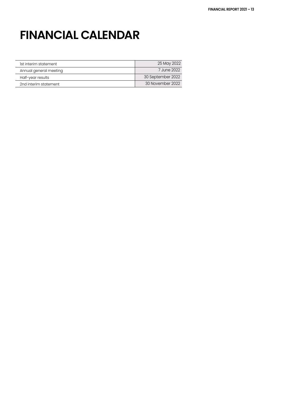# **FINANCIAL CALENDAR**

| Ist interim statement  | 25 May 2022       |
|------------------------|-------------------|
| Annual general meeting | 7 June 2022       |
| Half-year results      | 30 September 2022 |
| 2nd interim statement  | 30 November 2022  |